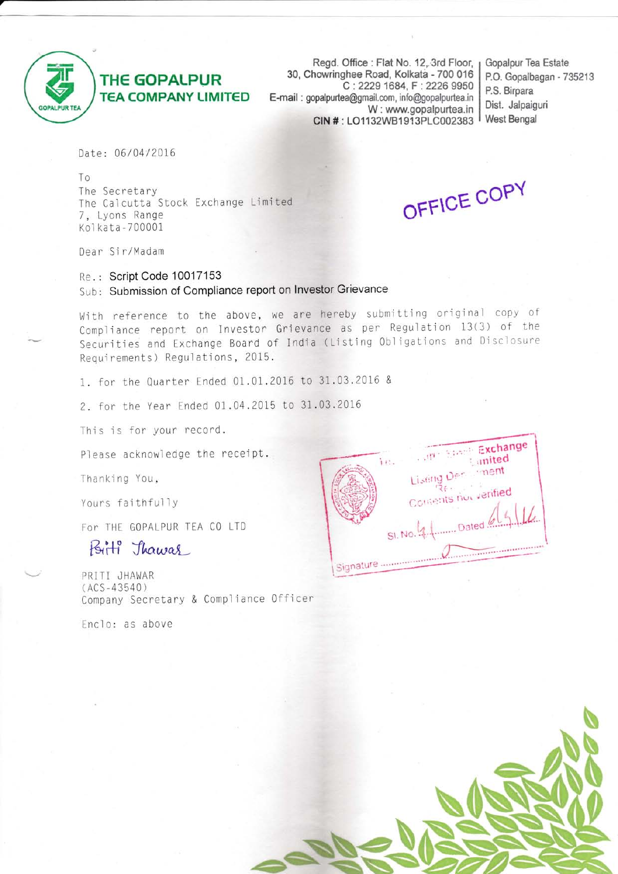

## **THE GOPALPUR TEA COMPANY LIMITED**

Regd. Office: Flat No. 12, 3rd Floor, 30, Chowringhee Road, Kolkata - 700 016 C: 2229 1684, F: 2226 9950 E-mail: gopalpurtea@gmail.com, info@gopalpurtea.in W: www.gopalpurtea.in CIN #: LO1132WB1913PLC002383

Gopalpur Tea Estate P.O. Gopalbagan - 735213 P.S. Birpara Dist. Jalpaiguri West Bengal

Date: 06/04/2016

To The Secretary The Calcutta Stock Exchange Limited 7, Lyons Range Kolkata-700001

OFFICE COPY

Dear Sir/Madam

Re.: Script Code 10017153 Sub: Submission of Compliance report on Investor Grievance

With reference to the above, we are hereby submitting original copy of Compliance report on Investor Grievance as per Regulation 13(3) of the Securities and Exchange Board of India (Listing Obligations and Disclosure Requirements) Regulations, 2015.

1. for the Quarter Ended 01.01.2016 to 31.03.2016 &

2. for the Year Ended 01.04.2015 to 31.03.2016

This is for your record.

Please acknowledge the receipt.

Thanking You,

Yours faithfully

For THE GOPALPUR TEA CO LTD

## Birti Thawas

PRITI JHAWAR  $(ACS-43540)$ Company Secretary & Compliance Officer

Enclo: as above